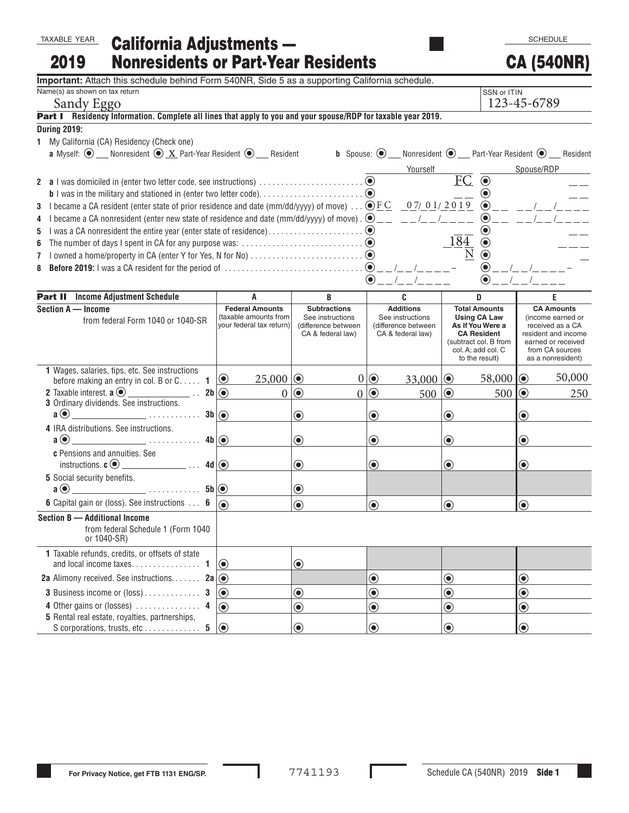## California Adjustments — Nonresidents or Part-Year Residents TAXABLE YEAR 2019

**Important:** Attach this schedule behind Form 540NR, Side 5 as a supporting California schedule.

| Name(s) as shown on tax return<br>SSN or ITIN                                                                                                                                                                                                                                                                                                                                                                                                                                                                                              |                                                       |                                         |                                         |                                             |                                       |  |  |
|--------------------------------------------------------------------------------------------------------------------------------------------------------------------------------------------------------------------------------------------------------------------------------------------------------------------------------------------------------------------------------------------------------------------------------------------------------------------------------------------------------------------------------------------|-------------------------------------------------------|-----------------------------------------|-----------------------------------------|---------------------------------------------|---------------------------------------|--|--|
| Sandy Eggo                                                                                                                                                                                                                                                                                                                                                                                                                                                                                                                                 |                                                       | 123-45-6789                             |                                         |                                             |                                       |  |  |
| Part I Residency Information. Complete all lines that apply to you and your spouse/RDP for taxable year 2019.                                                                                                                                                                                                                                                                                                                                                                                                                              |                                                       |                                         |                                         |                                             |                                       |  |  |
| <b>During 2019:</b>                                                                                                                                                                                                                                                                                                                                                                                                                                                                                                                        |                                                       |                                         |                                         |                                             |                                       |  |  |
| 1 My California (CA) Residency (Check one)                                                                                                                                                                                                                                                                                                                                                                                                                                                                                                 |                                                       |                                         |                                         |                                             |                                       |  |  |
| <b>a</b> Myself: $\odot$ Monresident $\odot$ X Part-Year Resident $\odot$ Resident <b>b</b> Spouse: $\odot$ Monresident $\odot$ Part-Year Resident $\odot$ Resident                                                                                                                                                                                                                                                                                                                                                                        |                                                       |                                         |                                         |                                             |                                       |  |  |
|                                                                                                                                                                                                                                                                                                                                                                                                                                                                                                                                            |                                                       |                                         | Yourself                                |                                             | Spouse/RDP                            |  |  |
|                                                                                                                                                                                                                                                                                                                                                                                                                                                                                                                                            |                                                       |                                         |                                         | $FC$ $\overline{\odot}$                     |                                       |  |  |
|                                                                                                                                                                                                                                                                                                                                                                                                                                                                                                                                            |                                                       |                                         |                                         | $\bigcirc$                                  |                                       |  |  |
| I became a CA resident (enter state of prior residence and date (mm/dd/yyyy) of move) $\bigcirc$ $\underline{FC}$ $\underline{07/01/2019}$ $\bigcirc$ $\underline{0.19}$ $\bigcirc$<br>3                                                                                                                                                                                                                                                                                                                                                   |                                                       |                                         |                                         |                                             |                                       |  |  |
| I became a CA nonresident (enter new state of residence and date (mm/dd/yyyy) of move) . $\bigcirc$ _<br>4                                                                                                                                                                                                                                                                                                                                                                                                                                 |                                                       |                                         |                                         |                                             |                                       |  |  |
| 5                                                                                                                                                                                                                                                                                                                                                                                                                                                                                                                                          |                                                       |                                         |                                         |                                             |                                       |  |  |
| 6                                                                                                                                                                                                                                                                                                                                                                                                                                                                                                                                          |                                                       |                                         |                                         | 184<br>$\textcolor{blue}{\bullet}$          |                                       |  |  |
|                                                                                                                                                                                                                                                                                                                                                                                                                                                                                                                                            |                                                       |                                         |                                         | $\bigcirc$                                  |                                       |  |  |
| 8                                                                                                                                                                                                                                                                                                                                                                                                                                                                                                                                          |                                                       |                                         |                                         | $\odot$                                     |                                       |  |  |
|                                                                                                                                                                                                                                                                                                                                                                                                                                                                                                                                            |                                                       |                                         |                                         | $\bf \odot$                                 |                                       |  |  |
| <b>Part II</b> Income Adjustment Schedule                                                                                                                                                                                                                                                                                                                                                                                                                                                                                                  | Α                                                     | B                                       | C                                       | D                                           | E                                     |  |  |
| Section A - Income                                                                                                                                                                                                                                                                                                                                                                                                                                                                                                                         | <b>Federal Amounts</b>                                | <b>Subtractions</b>                     | <b>Additions</b>                        | <b>Total Amounts</b>                        | <b>CA Amounts</b>                     |  |  |
| from federal Form 1040 or 1040-SR                                                                                                                                                                                                                                                                                                                                                                                                                                                                                                          | (taxable amounts from<br>vour federal tax return)     | See instructions<br>(difference between | See instructions<br>(difference between | <b>Using CA Law</b><br>As If You Were a     | (income earned or<br>received as a CA |  |  |
|                                                                                                                                                                                                                                                                                                                                                                                                                                                                                                                                            |                                                       | CA & federal law)                       | CA & federal law)                       | <b>CA Resident</b>                          | resident and income                   |  |  |
|                                                                                                                                                                                                                                                                                                                                                                                                                                                                                                                                            |                                                       |                                         |                                         | (subtract col. B from<br>col. A; add col. C | earned or received<br>from CA sources |  |  |
|                                                                                                                                                                                                                                                                                                                                                                                                                                                                                                                                            |                                                       |                                         |                                         | to the result)                              | as a nonresident)                     |  |  |
| 1 Wages, salaries, tips, etc. See instructions                                                                                                                                                                                                                                                                                                                                                                                                                                                                                             |                                                       |                                         |                                         |                                             |                                       |  |  |
| before making an entry in col. B or $C_1, \ldots, 1$                                                                                                                                                                                                                                                                                                                                                                                                                                                                                       | $  \odot$<br>$25,000$ $\odot$                         |                                         | $0  \odot$<br>33,000 $\odot$            | 58,000 $  \odot$                            | 50,000                                |  |  |
| 2 Taxable interest. $\mathbf{a} \odot$ _____________________. 2b $\odot$                                                                                                                                                                                                                                                                                                                                                                                                                                                                   |                                                       | $0 0\rangle$                            | $0 0\rangle$<br>$500$ $\odot$           | $500$ $\odot$                               | 250                                   |  |  |
| 3 Ordinary dividends. See instructions.<br>$\overline{\phantom{a}}$ $\overline{\phantom{a}}$ $\overline{\phantom{a}}$ $\overline{\phantom{a}}$ $\overline{\phantom{a}}$ $\overline{\phantom{a}}$ $\overline{\phantom{a}}$ $\overline{\phantom{a}}$ $\overline{\phantom{a}}$ $\overline{\phantom{a}}$ $\overline{\phantom{a}}$ $\overline{\phantom{a}}$ $\overline{\phantom{a}}$ $\overline{\phantom{a}}$ $\overline{\phantom{a}}$ $\overline{\phantom{a}}$ $\overline{\phantom{a}}$ $\overline{\phantom{a}}$ $\overline{\$<br>$a(\bullet)$ |                                                       |                                         |                                         |                                             |                                       |  |  |
|                                                                                                                                                                                                                                                                                                                                                                                                                                                                                                                                            |                                                       | $\odot$                                 | $\textcolor{blue}{\bullet}$             | $\textcolor{blue}{\bullet}$                 | $\textcolor{blue}{\bullet}$           |  |  |
| 4 IRA distributions. See instructions.<br>$a$ $\odot$                                                                                                                                                                                                                                                                                                                                                                                                                                                                                      |                                                       | $\odot$                                 | $\odot$                                 | $\textcolor{blue}{\bullet}$                 | $\textcolor{blue}{\bullet}$           |  |  |
| c Pensions and annuities. See                                                                                                                                                                                                                                                                                                                                                                                                                                                                                                              |                                                       |                                         |                                         |                                             |                                       |  |  |
|                                                                                                                                                                                                                                                                                                                                                                                                                                                                                                                                            |                                                       | $\textcolor{blue}{\bullet}$             | $\odot$                                 | $\textcolor{blue}{\bullet}$                 | $\textcolor{blue}{\bullet}$           |  |  |
| 5 Social security benefits.                                                                                                                                                                                                                                                                                                                                                                                                                                                                                                                |                                                       |                                         |                                         |                                             |                                       |  |  |
|                                                                                                                                                                                                                                                                                                                                                                                                                                                                                                                                            |                                                       | $\bf \odot$                             |                                         |                                             |                                       |  |  |
| <b>6</b> Capital gain or (loss). See instructions 6                                                                                                                                                                                                                                                                                                                                                                                                                                                                                        |                                                       | $\textcolor{blue}{\bullet}$             | $\odot$                                 | $\textcolor{blue}{\bullet}$                 | $\odot$                               |  |  |
| Section B - Additional Income                                                                                                                                                                                                                                                                                                                                                                                                                                                                                                              |                                                       |                                         |                                         |                                             |                                       |  |  |
| from federal Schedule 1 (Form 1040                                                                                                                                                                                                                                                                                                                                                                                                                                                                                                         |                                                       |                                         |                                         |                                             |                                       |  |  |
| or 1040-SR)                                                                                                                                                                                                                                                                                                                                                                                                                                                                                                                                |                                                       |                                         |                                         |                                             |                                       |  |  |
| 1 Taxable refunds, credits, or offsets of state                                                                                                                                                                                                                                                                                                                                                                                                                                                                                            |                                                       |                                         |                                         |                                             |                                       |  |  |
| and local income taxes.<br>1                                                                                                                                                                                                                                                                                                                                                                                                                                                                                                               | $\bigcirc$                                            | $\textcolor{blue}{\bullet}$             |                                         |                                             |                                       |  |  |
| <b>2a</b> Alimony received. See instructions <b>2a</b> $\circledcirc$                                                                                                                                                                                                                                                                                                                                                                                                                                                                      |                                                       |                                         | $\odot$                                 | $\textcolor{blue}{\bullet}$                 | $\textcolor{blue}{\bullet}$           |  |  |
| 3 Business income or (loss)<br>3                                                                                                                                                                                                                                                                                                                                                                                                                                                                                                           | $\textcolor{blue}{\bullet}$                           | $\textcolor{blue}{\bullet}$             | $\bigcirc$                              | $\textcolor{blue}{\bullet}$                 | $\textcolor{blue}{\bullet}$           |  |  |
| 4 Other gains or (losses)  4                                                                                                                                                                                                                                                                                                                                                                                                                                                                                                               | $\textcolor{blue}{\bullet}$                           | $\textcolor{blue}{\bullet}$             | $\textcolor{blue}{\bullet}$             | $\textcolor{blue}{\bullet}$                 | $\textcolor{blue}{\bullet}$           |  |  |
| 5 Rental real estate, royalties, partnerships,                                                                                                                                                                                                                                                                                                                                                                                                                                                                                             |                                                       |                                         |                                         |                                             |                                       |  |  |
|                                                                                                                                                                                                                                                                                                                                                                                                                                                                                                                                            | $  \textcolor{red}{\bullet} \textcolor{red}{\bullet}$ | $\bigcirc$                              | $\odot$                                 | $\odot$                                     | $\odot$                               |  |  |

**SCHEDULE** 

CA (540NR)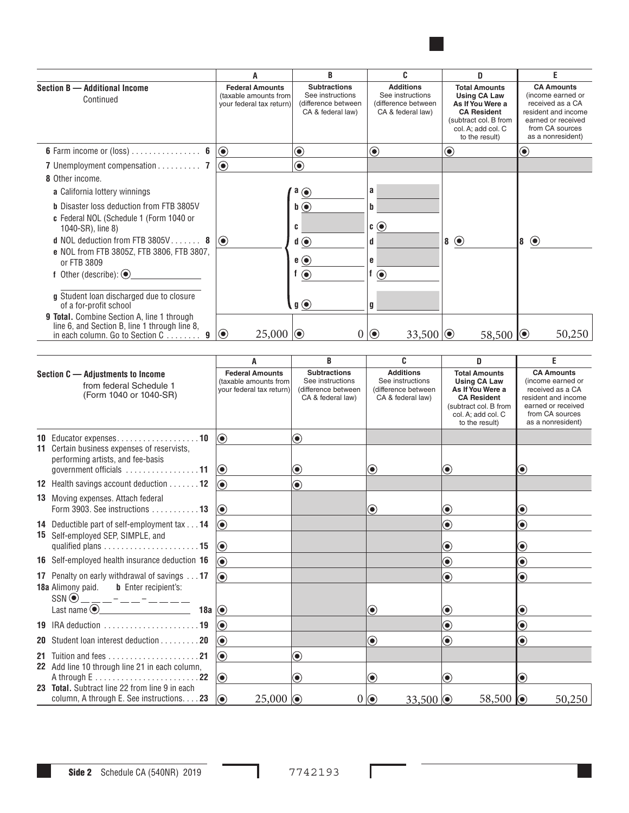

|                                                                                                   | A                                                                           | B                                                                                   | c                                                                                | D                                                                                                                                                      | F                                                                                                                                               |
|---------------------------------------------------------------------------------------------------|-----------------------------------------------------------------------------|-------------------------------------------------------------------------------------|----------------------------------------------------------------------------------|--------------------------------------------------------------------------------------------------------------------------------------------------------|-------------------------------------------------------------------------------------------------------------------------------------------------|
| Section B - Additional Income<br>Continued                                                        | <b>Federal Amounts</b><br>(taxable amounts from<br>your federal tax return) | <b>Subtractions</b><br>See instructions<br>(difference between<br>CA & federal law) | <b>Additions</b><br>See instructions<br>(difference between<br>CA & federal law) | <b>Total Amounts</b><br><b>Using CA Law</b><br>As If You Were a<br><b>CA Resident</b><br>(subtract col. B from<br>col. A; add col. C<br>to the result) | <b>CA Amounts</b><br>(income earned or<br>received as a CA<br>resident and income<br>earned or received<br>from CA sources<br>as a nonresident) |
| <b>6</b> Farm income or (loss) $\dots \dots \dots \dots$ 6                                        | $\textcolor{blue}{\bullet}$                                                 | $\boldsymbol{\odot}$                                                                | $\textcolor{blue}{\bullet}$                                                      | $\bf \odot$                                                                                                                                            | $\textcolor{blue}{\bullet}$                                                                                                                     |
| 7 Unemployment compensation 7                                                                     | $\textcolor{blue}{\bullet}$                                                 | $\textcolor{blue}{\bullet}$                                                         |                                                                                  |                                                                                                                                                        |                                                                                                                                                 |
| 8 Other income.                                                                                   |                                                                             |                                                                                     |                                                                                  |                                                                                                                                                        |                                                                                                                                                 |
| <b>a</b> California lottery winnings                                                              |                                                                             | $a_{\odot}$                                                                         | a                                                                                |                                                                                                                                                        |                                                                                                                                                 |
| <b>b</b> Disaster loss deduction from FTB 3805V                                                   |                                                                             | $\mathbf{b}$ $\odot$                                                                |                                                                                  |                                                                                                                                                        |                                                                                                                                                 |
| c Federal NOL (Schedule 1 (Form 1040 or<br>1040-SR), line 8)                                      |                                                                             | c                                                                                   | $\mathfrak{c} \odot$                                                             |                                                                                                                                                        |                                                                                                                                                 |
| <b>d</b> NOL deduction from FTB $3805V$ 8                                                         | $  \odot$                                                                   | $\mathbf{d} \odot$                                                                  |                                                                                  | $8^\circ$                                                                                                                                              | 8 ⊙                                                                                                                                             |
| e NOL from FTB 3805Z, FTB 3806, FTB 3807,                                                         |                                                                             |                                                                                     |                                                                                  |                                                                                                                                                        |                                                                                                                                                 |
| or FTB 3809                                                                                       |                                                                             | $e$ $\odot$                                                                         | e                                                                                |                                                                                                                                                        |                                                                                                                                                 |
| f Other (describe): $\bigcirc$                                                                    |                                                                             | $\odot$                                                                             | $\odot$                                                                          |                                                                                                                                                        |                                                                                                                                                 |
| g Student Ioan discharged due to closure<br>of a for-profit school                                |                                                                             | $\mathfrak{g}$ $\odot$                                                              | g                                                                                |                                                                                                                                                        |                                                                                                                                                 |
| <b>9 Total.</b> Combine Section A, line 1 through                                                 |                                                                             |                                                                                     |                                                                                  |                                                                                                                                                        |                                                                                                                                                 |
| line 6, and Section B, line 1 through line 8,<br>in each column. Go to Section $C_1, \ldots, C_n$ | 25,000<br>$\bullet$                                                         | 0                                                                                   | $\odot$<br>33,500 $  \odot$                                                      | 58,500 $\circ$                                                                                                                                         | 50,250                                                                                                                                          |

|                                                                                        |                                                                                            | A                                                                           | B                                                                                   | C                                                                                | D                                                                                                                                                      | F                                                                                                                                               |  |
|----------------------------------------------------------------------------------------|--------------------------------------------------------------------------------------------|-----------------------------------------------------------------------------|-------------------------------------------------------------------------------------|----------------------------------------------------------------------------------|--------------------------------------------------------------------------------------------------------------------------------------------------------|-------------------------------------------------------------------------------------------------------------------------------------------------|--|
| Section C - Adjustments to Income<br>from federal Schedule 1<br>(Form 1040 or 1040-SR) |                                                                                            | <b>Federal Amounts</b><br>(taxable amounts from<br>your federal tax return) | <b>Subtractions</b><br>See instructions<br>(difference between<br>CA & federal law) | <b>Additions</b><br>See instructions<br>(difference between<br>CA & federal law) | <b>Total Amounts</b><br><b>Using CA Law</b><br>As If You Were a<br><b>CA Resident</b><br>(subtract col. B from<br>col. A; add col. C<br>to the result) | <b>CA Amounts</b><br>(income earned or<br>received as a CA<br>resident and income<br>earned or received<br>from CA sources<br>as a nonresident) |  |
|                                                                                        | 10 Educator expenses10                                                                     | $\bigcirc$                                                                  | $\textcolor{blue}{\bullet}$                                                         |                                                                                  |                                                                                                                                                        |                                                                                                                                                 |  |
|                                                                                        | 11 Certain business expenses of reservists,<br>performing artists, and fee-basis           | $  \textcolor{teal}{\bullet}$                                               | $\bf \odot$                                                                         | $\bf{(\bullet)}$                                                                 | $\textcolor{blue}{\bullet}$                                                                                                                            | $\boldsymbol{\odot}$                                                                                                                            |  |
|                                                                                        | 12 Health savings account deduction 12                                                     | 6                                                                           | $\odot$                                                                             |                                                                                  |                                                                                                                                                        |                                                                                                                                                 |  |
|                                                                                        | <b>13</b> Moving expenses. Attach federal<br>Form 3903. See instructions  13               | $\bigcirc$                                                                  |                                                                                     | $\bf{(\bullet)}$                                                                 | $\bf{O}$                                                                                                                                               | $\textcolor{blue}{\bullet}$                                                                                                                     |  |
|                                                                                        | 14 Deductible part of self-employment tax 14                                               | $\bigcirc$                                                                  |                                                                                     |                                                                                  | $\textcolor{blue}{\bullet}$                                                                                                                            | $\textcolor{blue}{\bullet}$                                                                                                                     |  |
|                                                                                        | 15 Self-employed SEP, SIMPLE, and                                                          | $\bigcirc$                                                                  |                                                                                     |                                                                                  | $\textcolor{blue}{\bullet}$                                                                                                                            | $\bf \odot$                                                                                                                                     |  |
|                                                                                        | 16 Self-employed health insurance deduction 16                                             | $\circledbullet$                                                            |                                                                                     |                                                                                  | $\textcolor{blue}{\bullet}$                                                                                                                            | $\bf \odot$                                                                                                                                     |  |
|                                                                                        | 17 Penalty on early withdrawal of savings 17                                               | ∩                                                                           |                                                                                     |                                                                                  | $\bf \odot$                                                                                                                                            | $\textcolor{blue}{\bullet}$                                                                                                                     |  |
|                                                                                        | <b>18a</b> Alimony paid. <b>b</b> Enter recipient's:                                       |                                                                             |                                                                                     |                                                                                  |                                                                                                                                                        |                                                                                                                                                 |  |
|                                                                                        | 18a $\circ$                                                                                |                                                                             |                                                                                     | $\textcolor{blue}{\bullet}$                                                      | $\textcolor{blue}{\bullet}$                                                                                                                            | $\textcolor{blue}{\bullet}$                                                                                                                     |  |
|                                                                                        |                                                                                            | $  \textcolor{teal}{\bullet}$                                               |                                                                                     |                                                                                  | $\bf \odot$                                                                                                                                            | $\textcolor{blue}{\bullet}$                                                                                                                     |  |
|                                                                                        | 20 Student loan interest deduction 20                                                      | $\circled{\hspace{-2pt}}$                                                   |                                                                                     | ◉                                                                                | $\textcolor{blue}{\bullet}$                                                                                                                            | $\bf \odot$                                                                                                                                     |  |
|                                                                                        |                                                                                            | $\circledbullet$                                                            | $\textcolor{blue}{\bullet}$                                                         |                                                                                  |                                                                                                                                                        |                                                                                                                                                 |  |
|                                                                                        | 22 Add line 10 through line 21 in each column,                                             | $\bigcirc$                                                                  | $\bf{(\bullet)}$                                                                    | ◉                                                                                | $\circledbullet$                                                                                                                                       | $\bf{(\bullet)}$                                                                                                                                |  |
|                                                                                        | 23 Total, Subtract line 22 from line 9 in each<br>column, A through E. See instructions 23 | $\bigcirc$<br>25,000                                                        | $\overline{0}$                                                                      | $  \textcolor{teal}{\bullet}$<br>33,500 $\circ$                                  | 58,500 0                                                                                                                                               | 50,250                                                                                                                                          |  |

Г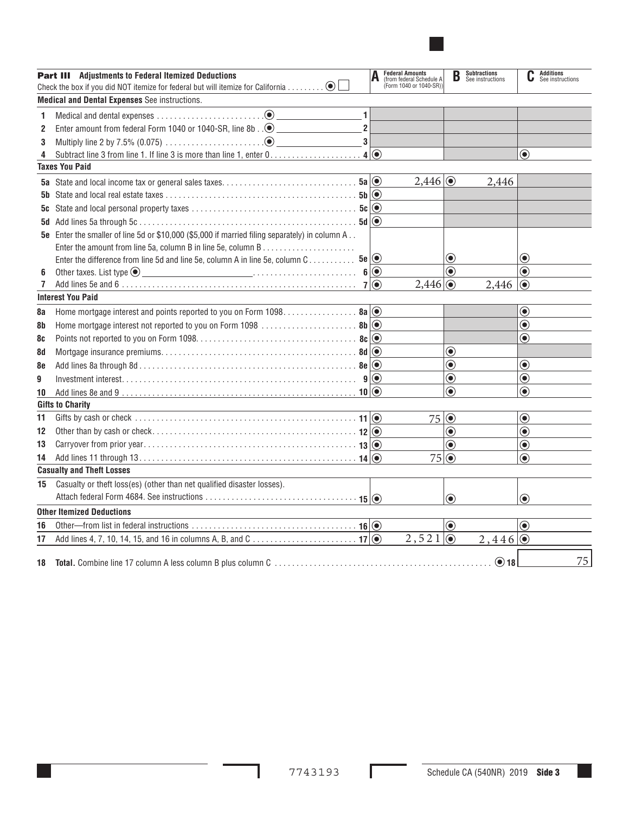|                                                      | <b>Part III</b> Adjustments to Federal Itemized Deductions                                              |            | <b>Federal Amounts</b><br>(from federal Schedule A)<br>(Form 1040 or 1040-SR)) | B                                                          | <b>Subtractions</b><br>See instructions | C                                                          | <b>Additions</b><br>See instructions |
|------------------------------------------------------|---------------------------------------------------------------------------------------------------------|------------|--------------------------------------------------------------------------------|------------------------------------------------------------|-----------------------------------------|------------------------------------------------------------|--------------------------------------|
| <b>Medical and Dental Expenses</b> See instructions. |                                                                                                         |            |                                                                                |                                                            |                                         |                                                            |                                      |
| 1                                                    | 1                                                                                                       |            |                                                                                |                                                            |                                         |                                                            |                                      |
| 2                                                    | Enter amount from federal Form 1040 or 1040-SR, line 8b $\therefore$ $\odot$<br>$\overline{\mathbf{c}}$ |            |                                                                                |                                                            |                                         |                                                            |                                      |
| 3                                                    | 3                                                                                                       |            |                                                                                |                                                            |                                         |                                                            |                                      |
| 4                                                    | Subtract line 3 from line 1. If line 3 is more than line 1, enter 0. 4                                  | $\odot$    |                                                                                |                                                            |                                         | $\bf \odot$                                                |                                      |
|                                                      | <b>Taxes You Paid</b>                                                                                   |            |                                                                                |                                                            |                                         |                                                            |                                      |
|                                                      |                                                                                                         |            | 2,446                                                                          |                                                            | 2,446                                   |                                                            |                                      |
|                                                      |                                                                                                         | $\odot$    |                                                                                |                                                            |                                         |                                                            |                                      |
| 5c                                                   |                                                                                                         | $\odot$    |                                                                                |                                                            |                                         |                                                            |                                      |
|                                                      |                                                                                                         | $\odot$    |                                                                                |                                                            |                                         |                                                            |                                      |
|                                                      | 5e Enter the smaller of line 5d or \$10,000 (\$5,000 if married filing separately) in column A          |            |                                                                                |                                                            |                                         |                                                            |                                      |
|                                                      |                                                                                                         |            |                                                                                |                                                            |                                         |                                                            |                                      |
|                                                      | Enter the difference from line 5d and line 5e, column A in line 5e, column C 5e                         | $\bigcirc$ |                                                                                | $\bf \odot$<br>$\textcolor{blue}{\bullet}$                 |                                         | $\bf \odot$<br>$\textcolor{blue}{\bullet}$                 |                                      |
| 6<br>7                                               | Other taxes. List type $\odot$                                                                          | $6\odot$   |                                                                                |                                                            |                                         |                                                            |                                      |
|                                                      | <b>Interest You Paid</b>                                                                                |            | $2,446$ $\odot$                                                                |                                                            | 2,446                                   | $\textcircled{\small{\bullet}}$                            |                                      |
|                                                      |                                                                                                         |            |                                                                                |                                                            |                                         | $\textcolor{blue}{\bullet}$                                |                                      |
| 8a                                                   | Home mortgage interest and points reported to you on Form 1098 8a   O                                   |            |                                                                                |                                                            |                                         | $\textcolor{blue}{\bullet}$                                |                                      |
| 8b                                                   | Home mortgage interest not reported to you on Form 1098  8b   O                                         |            |                                                                                |                                                            |                                         | $\textcolor{blue}{\bullet}$                                |                                      |
| 8c                                                   |                                                                                                         |            |                                                                                |                                                            |                                         |                                                            |                                      |
| 8d                                                   |                                                                                                         |            |                                                                                | $\textcolor{blue}{\bullet}$<br>$\textcolor{blue}{\bullet}$ |                                         |                                                            |                                      |
| 8e                                                   |                                                                                                         |            |                                                                                |                                                            |                                         | $\textcolor{blue}{\bullet}$                                |                                      |
| 9                                                    |                                                                                                         |            |                                                                                | $\textcolor{blue}{\bullet}$<br>$\bf \odot$                 |                                         | $\textcolor{blue}{\bullet}$<br>$\textcolor{blue}{\bullet}$ |                                      |
| 10                                                   |                                                                                                         |            |                                                                                |                                                            |                                         |                                                            |                                      |
|                                                      | <b>Gifts to Charity</b>                                                                                 |            |                                                                                |                                                            |                                         |                                                            |                                      |
| 11                                                   |                                                                                                         |            | 75                                                                             | $\odot$                                                    |                                         | $\textcolor{blue}{\bullet}$                                |                                      |
| 12                                                   |                                                                                                         |            |                                                                                | $\bf \odot$                                                |                                         | $\textcolor{blue}{\bullet}$                                |                                      |
| 13                                                   |                                                                                                         |            |                                                                                | $\textcolor{blue}{\bullet}$                                |                                         | $\textcolor{blue}{\bullet}$                                |                                      |
| 14                                                   | <b>Casualty and Theft Losses</b>                                                                        | $\odot$    | 75                                                                             | $\odot$                                                    |                                         | $\textcolor{blue}{\bullet}$                                |                                      |
|                                                      |                                                                                                         |            |                                                                                |                                                            |                                         |                                                            |                                      |
| 15                                                   | Casualty or theft loss(es) (other than net qualified disaster losses).                                  |            |                                                                                |                                                            |                                         |                                                            |                                      |
|                                                      |                                                                                                         |            |                                                                                | $\bf{(\bullet)}$                                           |                                         | $\circledbullet$                                           |                                      |
|                                                      | <b>Other Itemized Deductions</b>                                                                        |            |                                                                                |                                                            |                                         |                                                            |                                      |
| 16                                                   |                                                                                                         |            |                                                                                | $\odot$                                                    |                                         | (●)                                                        |                                      |
| 17                                                   |                                                                                                         |            | 2, 521                                                                         | $ _{\textstyle\odot}$                                      | $2,446$ $\odot$                         |                                                            |                                      |
| 18                                                   |                                                                                                         |            |                                                                                |                                                            | $\odot$ 18                              |                                                            | 75                                   |